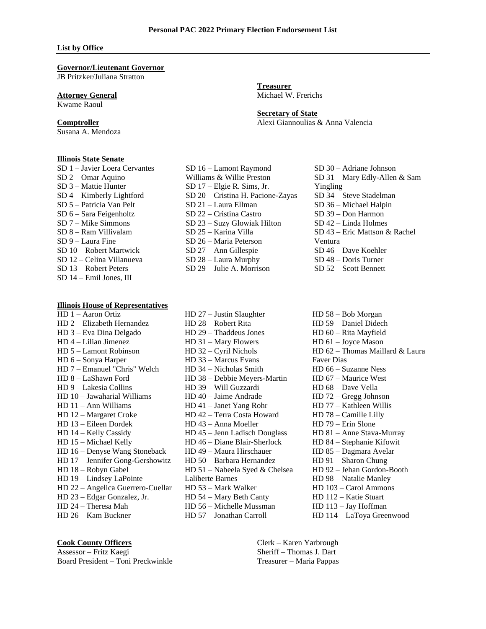#### **List by Office**

### **Governor/Lieutenant Governor**

JB Pritzker/Juliana Stratton

### **Attorney General**

Kwame Raoul

## **Comptroller**

Susana A. Mendoza

#### **Illinois State Senate**

SD 1 – Javier Loera Cervantes SD 2 – Omar Aquino SD 3 – Mattie Hunter SD 4 – Kimberly Lightford SD 5 – Patricia Van Pelt SD 6 – Sara Feigenholtz SD 7 – Mike Simmons SD 8 – Ram Villivalam SD 9 – Laura Fine SD 10 – Robert Martwick SD 12 – Celina Villanueva SD 13 – Robert Peters SD 14 – Emil Jones, III

# **Illinois House of Representatives**

HD 1 – Aaron Ortiz HD 2 – Elizabeth Hernandez HD 3 – Eva Dina Delgado HD 4 – Lilian Jimenez HD 5 – Lamont Robinson HD 6 – Sonya Harper HD 7 – Emanuel "Chris" Welch HD 8 – LaShawn Ford HD 9 – Lakesia Collins HD 10 – Jawaharial Williams HD 11 – Ann Williams HD 12 – Margaret Croke HD 13 – Eileen Dordek HD 14 – Kelly Cassidy HD 15 – Michael Kelly HD 16 – Denyse Wang Stoneback HD 17 – Jennifer Gong-Gershowitz HD 18 – Robyn Gabel HD 19 – Lindsey LaPointe HD 22 – Angelica Guerrero-Cuellar HD 23 – Edgar Gonzalez, Jr. HD 24 – Theresa Mah HD 26 – Kam Buckner

### **Treasurer** Michael W. Frerichs

**Secretary of State** Alexi Giannoulias & Anna Valencia

SD 16 – Lamont Raymond Williams & Willie Preston SD 17 – Elgie R. Sims, Jr. SD 20 – Cristina H. Pacione-Zayas SD 21 – Laura Ellman SD 22 – Cristina Castro SD 23 – Suzy Glowiak Hilton SD 25 – Karina Villa SD 26 – Maria Peterson SD 27 – Ann Gillespie SD 28 – Laura Murphy SD 29 – Julie A. Morrison

SD 30 – Adriane Johnson SD 31 – Mary Edly-Allen & Sam Yingling SD 34 – Steve Stadelman SD 36 – Michael Halpin SD 39 – Don Harmon SD 42 – Linda Holmes SD 43 – Eric Mattson & Rachel Ventura SD 46 – Dave Koehler SD 48 – Doris Turner SD 52 – Scott Bennett

HD 27 – Justin Slaughter HD 28 – Robert Rita HD 29 – Thaddeus Jones HD 31 – Mary Flowers HD 32 – Cyril Nichols HD 33 – Marcus Evans HD 34 – Nicholas Smith HD 38 – Debbie Meyers-Martin HD 39 – Will Guzzardi HD 40 – Jaime Andrade HD 41 – Janet Yang Rohr HD 42 – Terra Costa Howard HD 43 – Anna Moeller HD 45 – Jenn Ladisch Douglass HD 46 – Diane Blair-Sherlock HD 49 – Maura Hirschauer HD 50 – Barbara Hernandez HD 51 – Nabeela Syed & Chelsea Laliberte Barnes HD 53 – Mark Walker HD 54 – Mary Beth Canty HD 56 – Michelle Mussman HD 57 – Jonathan Carroll

HD 58 – Bob Morgan HD 59 – Daniel Didech HD 60 – Rita Mayfield HD 61 – Joyce Mason HD 62 – Thomas Maillard & Laura Faver Dias HD 66 – Suzanne Ness HD 67 – Maurice West HD 68 – Dave Vella HD 72 – Gregg Johnson HD 77 – Kathleen Willis HD 78 – Camille Lilly HD 79 – Erin Slone HD 81 – Anne Stava-Murray HD 84 – Stephanie Kifowit HD 85 – Dagmara Avelar HD 91 – Sharon Chung HD 92 – Jehan Gordon-Booth HD 98 – Natalie Manley HD 103 – Carol Ammons HD 112 – Katie Stuart HD 113 – Jay Hoffman HD 114 – LaToya Greenwood

Clerk – Karen Yarbrough Sheriff – Thomas J. Dart Treasurer – Maria Pappas

# **Cook County Officers**

Assessor – Fritz Kaegi Board President – Toni Preckwinkle